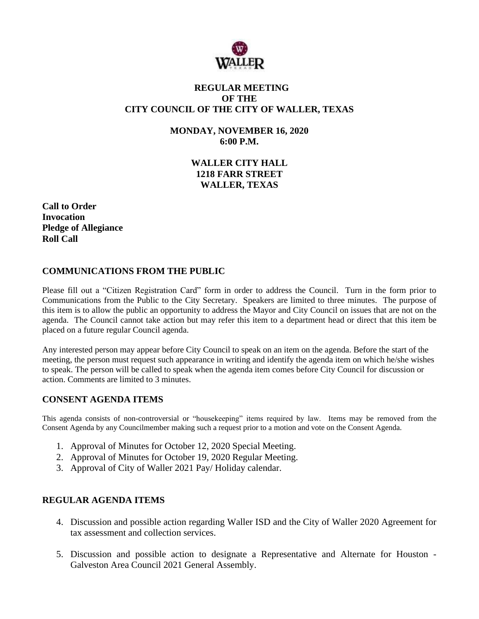

## **REGULAR MEETING OF THE CITY COUNCIL OF THE CITY OF WALLER, TEXAS**

**MONDAY, NOVEMBER 16, 2020 6:00 P.M.**

> **WALLER CITY HALL 1218 FARR STREET WALLER, TEXAS**

**Call to Order Invocation Pledge of Allegiance Roll Call**

# **COMMUNICATIONS FROM THE PUBLIC**

Please fill out a "Citizen Registration Card" form in order to address the Council. Turn in the form prior to Communications from the Public to the City Secretary. Speakers are limited to three minutes. The purpose of this item is to allow the public an opportunity to address the Mayor and City Council on issues that are not on the agenda. The Council cannot take action but may refer this item to a department head or direct that this item be placed on a future regular Council agenda.

Any interested person may appear before City Council to speak on an item on the agenda. Before the start of the meeting, the person must request such appearance in writing and identify the agenda item on which he/she wishes to speak. The person will be called to speak when the agenda item comes before City Council for discussion or action. Comments are limited to 3 minutes.

### **CONSENT AGENDA ITEMS**

This agenda consists of non-controversial or "housekeeping" items required by law. Items may be removed from the Consent Agenda by any Councilmember making such a request prior to a motion and vote on the Consent Agenda.

- 1. Approval of Minutes for October 12, 2020 Special Meeting.
- 2. Approval of Minutes for October 19, 2020 Regular Meeting.
- 3. Approval of City of Waller 2021 Pay/ Holiday calendar.

### **REGULAR AGENDA ITEMS**

- 4. Discussion and possible action regarding Waller ISD and the City of Waller 2020 Agreement for tax assessment and collection services.
- 5. Discussion and possible action to designate a Representative and Alternate for Houston Galveston Area Council 2021 General Assembly.